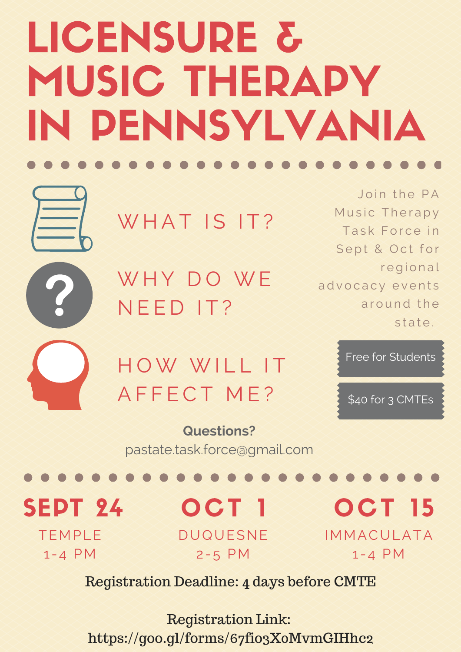# LICENSURE & MUSIC THERAPY IN PENNSYLVANIA

Join the PA Music Therapy Task Force in Sept & Oct for regional a d v o c a c y e v e n t s around the state.

WHAT IS IT?

WHY DO WE N E E D I T ?



HOW WILL IT A F F E C T M E ?

Free for Students

\$40 for 3 CMTEs

## **Questions?**

[pastate.task.force@gmail.com](http://pastate.task.force@gmail.com/)

#### OCT 15 IMMACULATA  $1 - 4$  PM SEPT 24 OCT 1 DUQUESNE 2-5 PM TEMPLE  $1 - 4$  PM

Registration Deadline: 4 days before CMTE

Registration Link: https://goo.gl/forms/67fio3X0MvmGIHhc2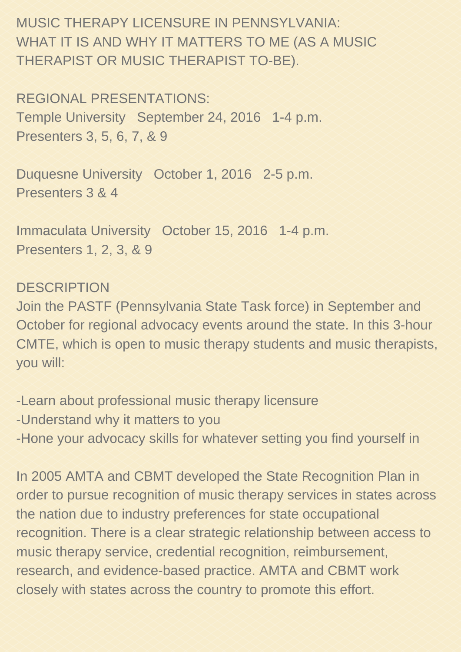Duquesne University October 1, 2016 2-5 p.m. Presenters 3 & 4

MUSIC THERAPY LICENSURE IN PENNSYLVANIA: WHAT IT IS AND WHY IT MATTERS TO ME (AS A MUSIC THERAPIST OR MUSIC THERAPIST TO-BE).

REGIONAL PRESENTATIONS: Temple University September 24, 2016 1-4 p.m. Presenters 3, 5, 6, 7, & 9

Immaculata University October 15, 2016 1-4 p.m. Presenters 1, 2, 3, & 9

-Learn about professional music therapy licensure Understand why it matters to you Hone your advocacy skills for whatever setting you find yourself in

DESCRIPTION Join the PASTF (Pennsylvania State Task force) in September and October for regional advocacy events around the state. In this 3-hour CMTE, which is open to music therapy students and music therapists, you will:

In 2005 AMTA and CBMT developed the State Recognition Plan in order to pursue recognition of music therapy services in states across the nation due to industry preferences for state occupational recognition. There is a clear strategic relationship between access to music therapy service, credential recognition, reimbursement, research, and evidence-based practice. AMTA and CBMT work closely with states across the country to promote this effort.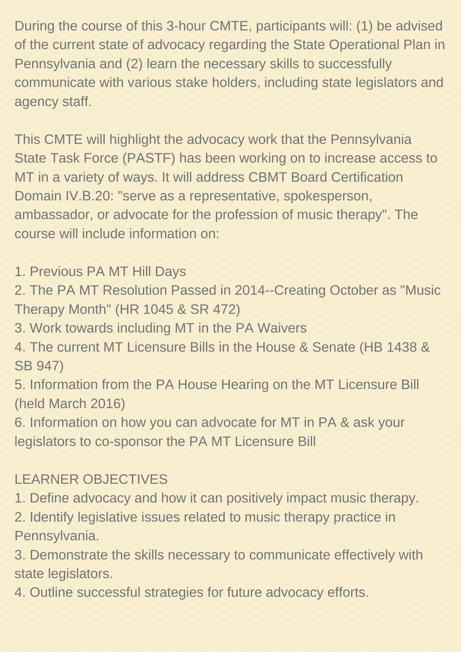During the course of this 3-hour CMTE, participants will: (1) be advised of the current state of advocacy regarding the State Operational Plan in Pennsylvania and (2) learn the necessary skills to successfully communicate with various stake holders, including state legislators and agency staff.

2. The PA MT Resolution Passed in 2014--Creating October as "Music Therapy Month" (HR 1045 & SR 472)

- 3. Work towards including MT in the PA Waivers
- 4. The current MT Licensure Bills in the House & Senate (HB 1438 & SB 947)
- 5. Information from the PA House Hearing on the MT Licensure Bill (held March 2016)
- 6. Information on how you can advocate for MT in PA & ask your legislators to co-sponsor the PA MT Licensure Bill

This CMTE will highlight the advocacy work that the Pennsylvania State Task Force (PASTF) has been working on to increase access to MT in a variety of ways. It will address CBMT Board Certification Domain IV.B.20: "serve as a representative, spokesperson, ambassador, or advocate for the profession of music therapy". The course will include information on:

#### 1. Previous PA MT Hill Days

## LEARNER OBJECTIVES

- 1. Define advocacy and how it can positively impact music therapy. 2. Identify legislative issues related to music therapy practice in Pennsylvania.
- 3. Demonstrate the skills necessary to communicate effectively with state legislators.
- 4. Outline successful strategies for future advocacy efforts.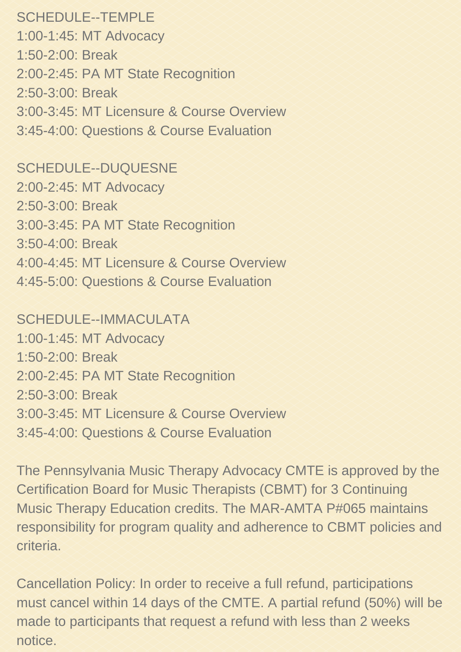SCHEDULE--TEMPLE 1:00-1:45: MT Advocacy 1:50-2:00: Break 2:00-2:45: PA MT State Recognition 2:50-3:00: Break 3:00-3:45: MT Licensure & Course Overview 3:454:00: Questions & Course Evaluation

SCHEDULE--DUQUESNE 2:00-2:45: MT Advocacy 2:50-3:00: Break 3:00-3:45: PA MT State Recognition 3:504:00: Break 4:004:45: MT Licensure & Course Overview 4:45-5:00: Questions & Course Evaluation

SCHEDULE--IMMACULATA 1:00-1:45: MT Advocacy

1:50-2:00: Break 2:00-2:45: PA MT State Recognition 2:50-3:00: Break 3:00-3:45: MT Licensure & Course Overview 3:454:00: Questions & Course Evaluation

The Pennsylvania Music Therapy Advocacy CMTE is approved by the Certification Board for Music Therapists (CBMT) for 3 Continuing Music Therapy Education credits. The MAR-AMTA P#065 maintains responsibility for program quality and adherence to CBMT policies and criteria.

Cancellation Policy: In order to receive a full refund, participations must cancel within 14 days of the CMTE. A partial refund (50%) will be made to participants that request a refund with less than 2 weeks notice.